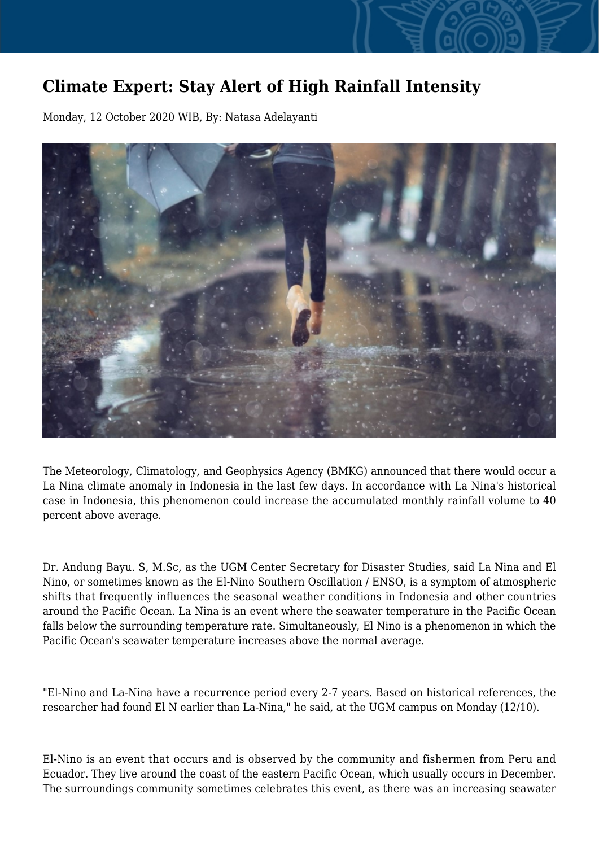## **Climate Expert: Stay Alert of High Rainfall Intensity**

Monday, 12 October 2020 WIB, By: Natasa Adelayanti



The Meteorology, Climatology, and Geophysics Agency (BMKG) announced that there would occur a La Nina climate anomaly in Indonesia in the last few days. In accordance with La Nina's historical case in Indonesia, this phenomenon could increase the accumulated monthly rainfall volume to 40 percent above average.

Dr. Andung Bayu. S, M.Sc, as the UGM Center Secretary for Disaster Studies, said La Nina and El Nino, or sometimes known as the El-Nino Southern Oscillation / ENSO, is a symptom of atmospheric shifts that frequently influences the seasonal weather conditions in Indonesia and other countries around the Pacific Ocean. La Nina is an event where the seawater temperature in the Pacific Ocean falls below the surrounding temperature rate. Simultaneously, El Nino is a phenomenon in which the Pacific Ocean's seawater temperature increases above the normal average.

"El-Nino and La-Nina have a recurrence period every 2-7 years. Based on historical references, the researcher had found El N earlier than La-Nina," he said, at the UGM campus on Monday (12/10).

El-Nino is an event that occurs and is observed by the community and fishermen from Peru and Ecuador. They live around the coast of the eastern Pacific Ocean, which usually occurs in December. The surroundings community sometimes celebrates this event, as there was an increasing seawater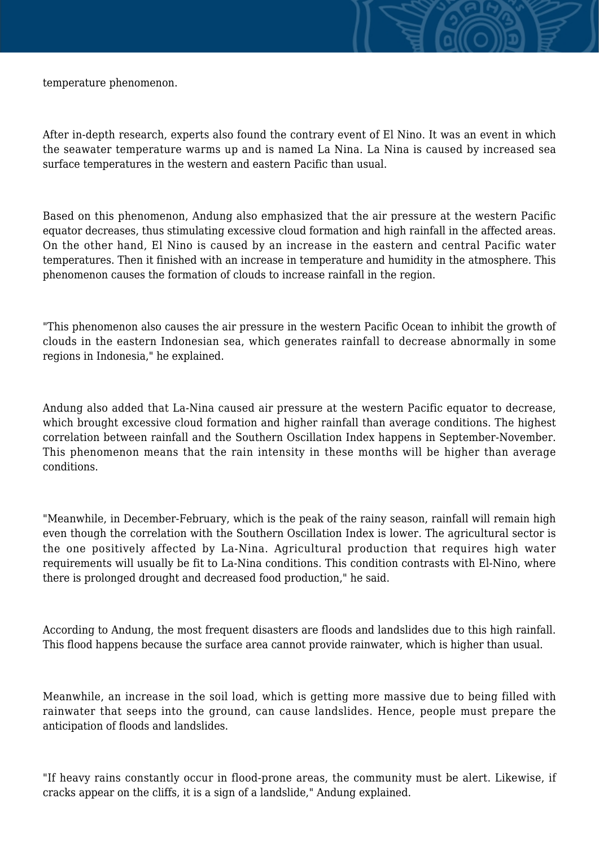temperature phenomenon.

After in-depth research, experts also found the contrary event of El Nino. It was an event in which the seawater temperature warms up and is named La Nina. La Nina is caused by increased sea surface temperatures in the western and eastern Pacific than usual.

Based on this phenomenon, Andung also emphasized that the air pressure at the western Pacific equator decreases, thus stimulating excessive cloud formation and high rainfall in the affected areas. On the other hand, El Nino is caused by an increase in the eastern and central Pacific water temperatures. Then it finished with an increase in temperature and humidity in the atmosphere. This phenomenon causes the formation of clouds to increase rainfall in the region.

"This phenomenon also causes the air pressure in the western Pacific Ocean to inhibit the growth of clouds in the eastern Indonesian sea, which generates rainfall to decrease abnormally in some regions in Indonesia," he explained.

Andung also added that La-Nina caused air pressure at the western Pacific equator to decrease, which brought excessive cloud formation and higher rainfall than average conditions. The highest correlation between rainfall and the Southern Oscillation Index happens in September-November. This phenomenon means that the rain intensity in these months will be higher than average conditions.

"Meanwhile, in December-February, which is the peak of the rainy season, rainfall will remain high even though the correlation with the Southern Oscillation Index is lower. The agricultural sector is the one positively affected by La-Nina. Agricultural production that requires high water requirements will usually be fit to La-Nina conditions. This condition contrasts with El-Nino, where there is prolonged drought and decreased food production," he said.

According to Andung, the most frequent disasters are floods and landslides due to this high rainfall. This flood happens because the surface area cannot provide rainwater, which is higher than usual.

Meanwhile, an increase in the soil load, which is getting more massive due to being filled with rainwater that seeps into the ground, can cause landslides. Hence, people must prepare the anticipation of floods and landslides.

"If heavy rains constantly occur in flood-prone areas, the community must be alert. Likewise, if cracks appear on the cliffs, it is a sign of a landslide," Andung explained.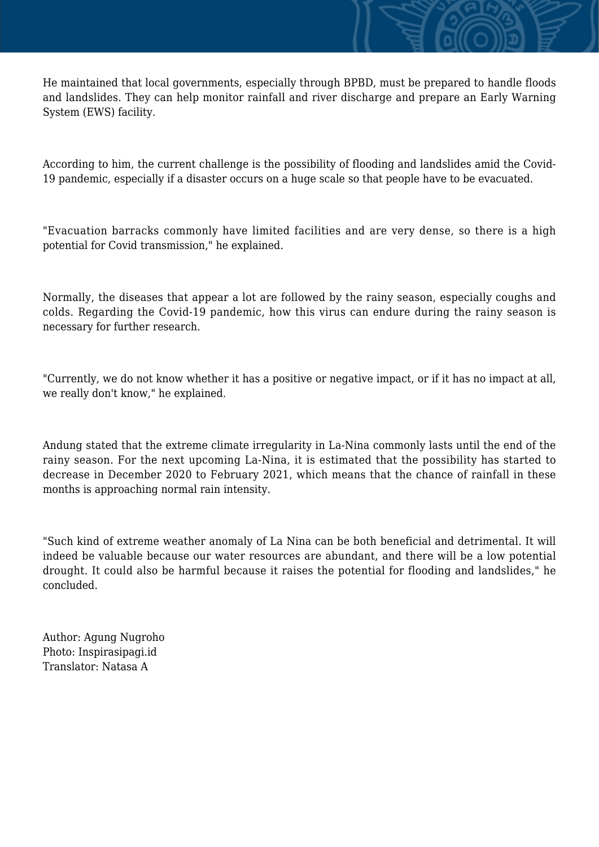He maintained that local governments, especially through BPBD, must be prepared to handle floods and landslides. They can help monitor rainfall and river discharge and prepare an Early Warning System (EWS) facility.

According to him, the current challenge is the possibility of flooding and landslides amid the Covid-19 pandemic, especially if a disaster occurs on a huge scale so that people have to be evacuated.

"Evacuation barracks commonly have limited facilities and are very dense, so there is a high potential for Covid transmission," he explained.

Normally, the diseases that appear a lot are followed by the rainy season, especially coughs and colds. Regarding the Covid-19 pandemic, how this virus can endure during the rainy season is necessary for further research.

"Currently, we do not know whether it has a positive or negative impact, or if it has no impact at all, we really don't know," he explained.

Andung stated that the extreme climate irregularity in La-Nina commonly lasts until the end of the rainy season. For the next upcoming La-Nina, it is estimated that the possibility has started to decrease in December 2020 to February 2021, which means that the chance of rainfall in these months is approaching normal rain intensity.

"Such kind of extreme weather anomaly of La Nina can be both beneficial and detrimental. It will indeed be valuable because our water resources are abundant, and there will be a low potential drought. It could also be harmful because it raises the potential for flooding and landslides," he concluded.

Author: Agung Nugroho Photo: Inspirasipagi.id Translator: Natasa A